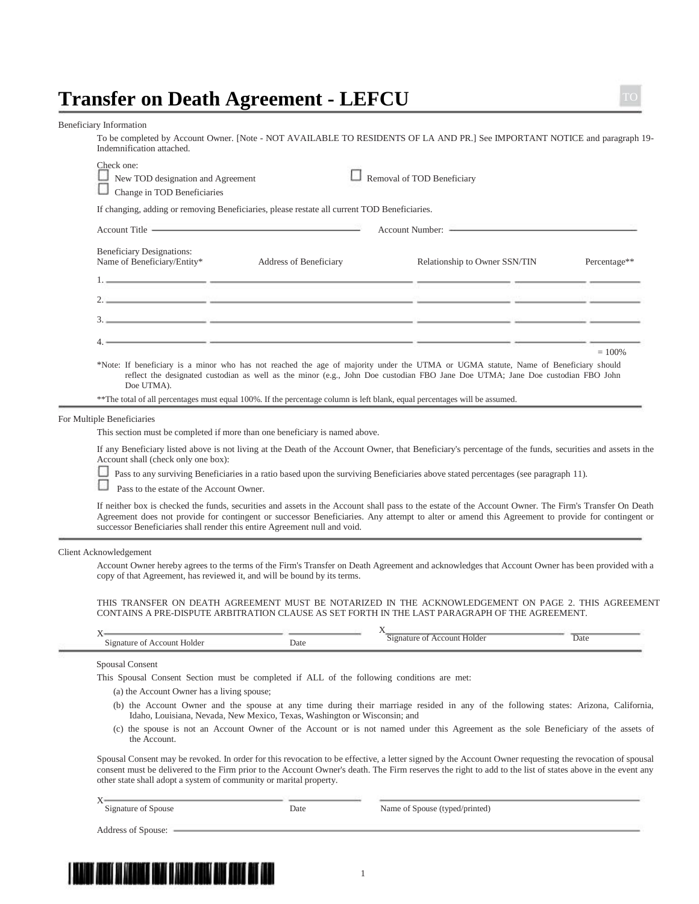## **Transfer on Death Agreement - LEFCU**

Beneficiary Information

To be completed by Account Owner. [Note - NOT AVAILABLE TO RESIDENTS OF LA AND PR.] See IMPORTANT NOTICE and paragraph 19- Indemnification attached.

|                                                                 | Account Title <u>and the second of the second second second second second second second second second second second second second second second second second second second second second second second second second second sec</u> | Account Number:                                                                                                                                                                                                                                                       |              |
|-----------------------------------------------------------------|--------------------------------------------------------------------------------------------------------------------------------------------------------------------------------------------------------------------------------------|-----------------------------------------------------------------------------------------------------------------------------------------------------------------------------------------------------------------------------------------------------------------------|--------------|
| <b>Beneficiary Designations:</b><br>Name of Beneficiary/Entity* | <b>Address of Beneficiary</b>                                                                                                                                                                                                        | Relationship to Owner SSN/TIN                                                                                                                                                                                                                                         | Percentage** |
|                                                                 |                                                                                                                                                                                                                                      |                                                                                                                                                                                                                                                                       |              |
|                                                                 |                                                                                                                                                                                                                                      | $2\mathbb{Z}$ , and the contribution of the contribution of the contribution of $\mathbb{Z}^m$ , and $\mathbb{Z}^m$ , and $\mathbb{Z}^m$                                                                                                                              |              |
|                                                                 |                                                                                                                                                                                                                                      |                                                                                                                                                                                                                                                                       |              |
|                                                                 |                                                                                                                                                                                                                                      |                                                                                                                                                                                                                                                                       |              |
| Doe UTMA).                                                      | ** The total of all percentages must equal 100%. If the percentage column is left blank, equal percentages will be assumed.                                                                                                          | *Note: If beneficiary is a minor who has not reached the age of majority under the UTMA or UGMA statute, Name of Beneficiary should<br>reflect the designated custodian as well as the minor (e.g., John Doe custodian FBO Jane Doe UTMA; Jane Doe custodian FBO John | $= 100\%$    |
|                                                                 |                                                                                                                                                                                                                                      |                                                                                                                                                                                                                                                                       |              |
| lltiple Beneficiaries                                           |                                                                                                                                                                                                                                      |                                                                                                                                                                                                                                                                       |              |

**Pass to the estate of the Account Owner.** 

If neither box is checked the funds, securities and assets in the Account shall pass to the estate of the Account Owner. The Firm's Transfer On Death Agreement does not provide for contingent or successor Beneficiaries. Any attempt to alter or amend this Agreement to provide for contingent or successor Beneficiaries shall render this entire Agreement null and void.

## Client Acknowledgement

For Mu

Account Owner hereby agrees to the terms of the Firm's Transfer on Death Agreement and acknowledges that Account Owner has been provided with a copy of that Agreement, has reviewed it, and will be bound by its terms.

THIS TRANSFER ON DEATH AGREEMENT MUST BE NOTARIZED IN THE ACKNOWLEDGEMENT ON PAGE 2. THIS AGREEMENT CONTAINS A PRE-DISPUTE ARBITRATION CLAUSE AS SET FORTH IN THE LAST PARAGRAPH OF THE AGREEMENT.

| - -                                   |           |                         |      |
|---------------------------------------|-----------|-------------------------|------|
| $\overline{1}$<br>. Holder<br>пr<br>m | Jate<br>. | יחוור<br>1 1 Y<br>ונ זר | Date |

Spousal Consent

This Spousal Consent Section must be completed if ALL of the following conditions are met:

(a) the Account Owner has a living spouse;

- (b) the Account Owner and the spouse at any time during their marriage resided in any of the following states: Arizona, California, Idaho, Louisiana, Nevada, New Mexico, Texas, Washington or Wisconsin; and
- (c) the spouse is not an Account Owner of the Account or is not named under this Agreement as the sole Beneficiary of the assets of the Account.

Spousal Consent may be revoked. In order for this revocation to be effective, a letter signed by the Account Owner requesting the revocation of spousal consent must be delivered to the Firm prior to the Account Owner's death. The Firm reserves the right to add to the list of states above in the event any other state shall adopt a system of community or marital property.

| T<br>Signature of Spouse | Date | Name of Spouse (typed/printed) |
|--------------------------|------|--------------------------------|
| Address of Spouse:       |      |                                |